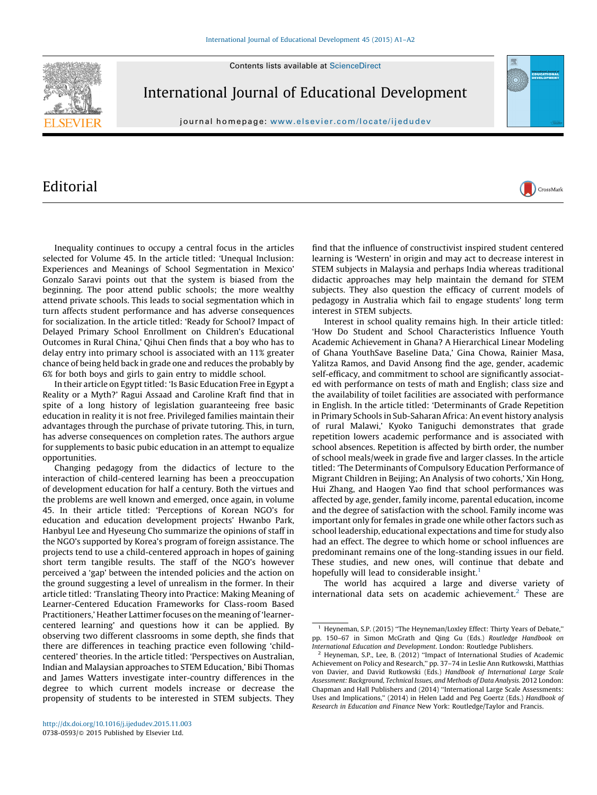Contents lists available at [ScienceDirect](http://www.sciencedirect.com/science/journal/07380593)



International Journal of Educational Development

journal homepage: www.elsevier.com/locate/ijedudev

## Editorial

Inequality continues to occupy a central focus in the articles selected for Volume 45. In the article titled: 'Unequal Inclusion: Experiences and Meanings of School Segmentation in Mexico' Gonzalo Saravi points out that the system is biased from the beginning. The poor attend public schools; the more wealthy attend private schools. This leads to social segmentation which in turn affects student performance and has adverse consequences for socialization. In the article titled: 'Ready for School? Impact of Delayed Primary School Enrollment on Children's Educational Outcomes in Rural China,' Qihui Chen finds that a boy who has to delay entry into primary school is associated with an 11% greater chance of being held back in grade one and reduces the probably by 6% for both boys and girls to gain entry to middle school.

In their article on Egypt titled: 'Is Basic Education Free in Egypt a Reality or a Myth?' Ragui Assaad and Caroline Kraft find that in spite of a long history of legislation guaranteeing free basic education in reality it is not free. Privileged families maintain their advantages through the purchase of private tutoring. This, in turn, has adverse consequences on completion rates. The authors argue for supplements to basic pubic education in an attempt to equalize opportunities.

Changing pedagogy from the didactics of lecture to the interaction of child-centered learning has been a preoccupation of development education for half a century. Both the virtues and the problems are well known and emerged, once again, in volume 45. In their article titled: 'Perceptions of Korean NGO's for education and education development projects' Hwanbo Park, Hanbyul Lee and Hyeseung Cho summarize the opinions of staff in the NGO's supported by Korea's program of foreign assistance. The projects tend to use a child-centered approach in hopes of gaining short term tangible results. The staff of the NGO's however perceived a 'gap' between the intended policies and the action on the ground suggesting a level of unrealism in the former. In their article titled: 'Translating Theory into Practice: Making Meaning of Learner-Centered Education Frameworks for Class-room Based Practitioners,' Heather Lattimer focuses on the meaning of 'learnercentered learning' and questions how it can be applied. By observing two different classrooms in some depth, she finds that there are differences in teaching practice even following 'childcentered' theories. In the article titled: 'Perspectives on Australian, Indian and Malaysian approaches to STEM Education,' Bibi Thomas and James Watters investigate inter-country differences in the degree to which current models increase or decrease the propensity of students to be interested in STEM subjects. They

find that the influence of constructivist inspired student centered learning is 'Western' in origin and may act to decrease interest in STEM subjects in Malaysia and perhaps India whereas traditional didactic approaches may help maintain the demand for STEM subjects. They also question the efficacy of current models of pedagogy in Australia which fail to engage students' long term interest in STEM subjects.

CrossMark

Interest in school quality remains high. In their article titled: 'How Do Student and School Characteristics Influence Youth Academic Achievement in Ghana? A Hierarchical Linear Modeling of Ghana YouthSave Baseline Data,' Gina Chowa, Rainier Masa, Yalitza Ramos, and David Ansong find the age, gender, academic self-efficacy, and commitment to school are significantly associated with performance on tests of math and English; class size and the availability of toilet facilities are associated with performance in English. In the article titled: 'Determinants of Grade Repetition in Primary Schools in Sub-Saharan Africa: An event history analysis of rural Malawi,' Kyoko Taniguchi demonstrates that grade repetition lowers academic performance and is associated with school absences. Repetition is affected by birth order, the number of school meals/week in grade five and larger classes. In the article titled: 'The Determinants of Compulsory Education Performance of Migrant Children in Beijing; An Analysis of two cohorts,' Xin Hong, Hui Zhang, and Haogen Yao find that school performances was affected by age, gender, family income, parental education, income and the degree of satisfaction with the school. Family income was important only for females in grade one while other factors such as school leadership, educational expectations and time for study also had an effect. The degree to which home or school influences are predominant remains one of the long-standing issues in our field. These studies, and new ones, will continue that debate and hopefully will lead to considerable insight. $<sup>1</sup>$ </sup>

The world has acquired a large and diverse variety of international data sets on academic achievement.<sup>2</sup> These are

 $1$  Heyneman, S.P. (2015) "The Heyneman/Loxley Effect: Thirty Years of Debate," pp. 150–67 in Simon McGrath and Qing Gu (Eds.) Routledge Handbook on International Education and Development. London: Routledge Publishers.

<sup>2</sup> Heyneman, S.P., Lee, B. (2012) ''Impact of International Studies of Academic Achievement on Policy and Research,'' pp. 37–74 in Leslie Ann Rutkowski, Matthias von Davier, and David Rutkowski (Eds.) Handbook of International Large Scale Assessment: Background, Technical Issues, and Methods of Data Analysis. 2012 London: Chapman and Hall Publishers and (2014) ''International Large Scale Assessments: Uses and Implications," (2014) in Helen Ladd and Peg Goertz (Eds.) Handbook of Research in Education and Finance New York: Routledge/Taylor and Francis.